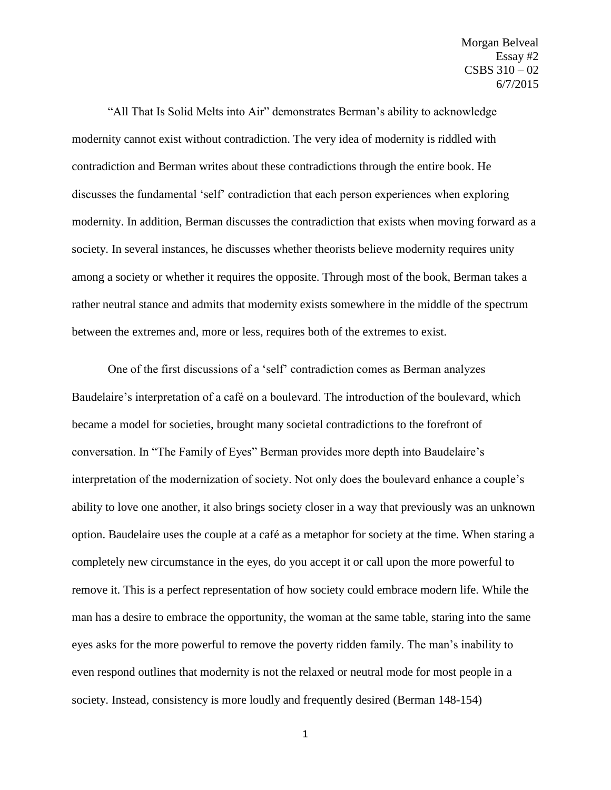"All That Is Solid Melts into Air" demonstrates Berman's ability to acknowledge modernity cannot exist without contradiction. The very idea of modernity is riddled with contradiction and Berman writes about these contradictions through the entire book. He discusses the fundamental 'self' contradiction that each person experiences when exploring modernity. In addition, Berman discusses the contradiction that exists when moving forward as a society. In several instances, he discusses whether theorists believe modernity requires unity among a society or whether it requires the opposite. Through most of the book, Berman takes a rather neutral stance and admits that modernity exists somewhere in the middle of the spectrum between the extremes and, more or less, requires both of the extremes to exist.

One of the first discussions of a 'self' contradiction comes as Berman analyzes Baudelaire's interpretation of a café on a boulevard. The introduction of the boulevard, which became a model for societies, brought many societal contradictions to the forefront of conversation. In "The Family of Eyes" Berman provides more depth into Baudelaire's interpretation of the modernization of society. Not only does the boulevard enhance a couple's ability to love one another, it also brings society closer in a way that previously was an unknown option. Baudelaire uses the couple at a café as a metaphor for society at the time. When staring a completely new circumstance in the eyes, do you accept it or call upon the more powerful to remove it. This is a perfect representation of how society could embrace modern life. While the man has a desire to embrace the opportunity, the woman at the same table, staring into the same eyes asks for the more powerful to remove the poverty ridden family. The man's inability to even respond outlines that modernity is not the relaxed or neutral mode for most people in a society. Instead, consistency is more loudly and frequently desired (Berman 148-154)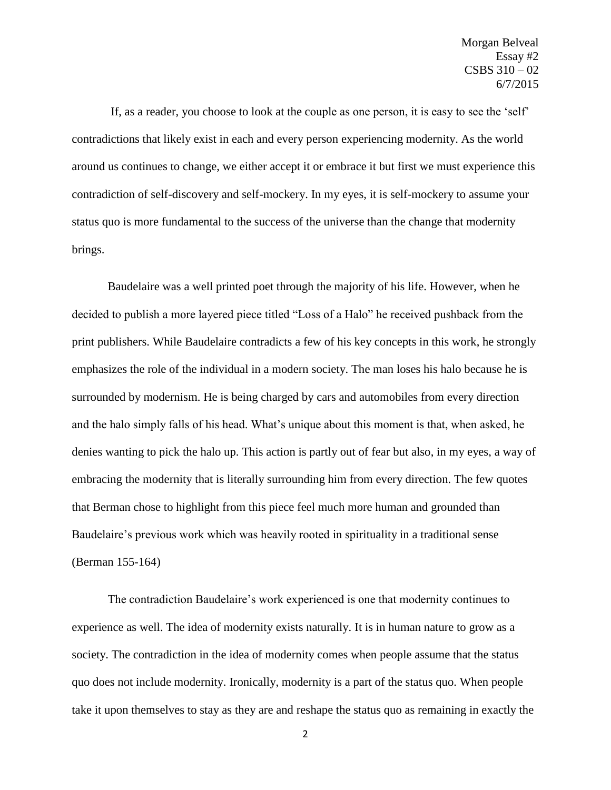If, as a reader, you choose to look at the couple as one person, it is easy to see the 'self' contradictions that likely exist in each and every person experiencing modernity. As the world around us continues to change, we either accept it or embrace it but first we must experience this contradiction of self-discovery and self-mockery. In my eyes, it is self-mockery to assume your status quo is more fundamental to the success of the universe than the change that modernity brings.

Baudelaire was a well printed poet through the majority of his life. However, when he decided to publish a more layered piece titled "Loss of a Halo" he received pushback from the print publishers. While Baudelaire contradicts a few of his key concepts in this work, he strongly emphasizes the role of the individual in a modern society. The man loses his halo because he is surrounded by modernism. He is being charged by cars and automobiles from every direction and the halo simply falls of his head. What's unique about this moment is that, when asked, he denies wanting to pick the halo up. This action is partly out of fear but also, in my eyes, a way of embracing the modernity that is literally surrounding him from every direction. The few quotes that Berman chose to highlight from this piece feel much more human and grounded than Baudelaire's previous work which was heavily rooted in spirituality in a traditional sense (Berman 155-164)

The contradiction Baudelaire's work experienced is one that modernity continues to experience as well. The idea of modernity exists naturally. It is in human nature to grow as a society. The contradiction in the idea of modernity comes when people assume that the status quo does not include modernity. Ironically, modernity is a part of the status quo. When people take it upon themselves to stay as they are and reshape the status quo as remaining in exactly the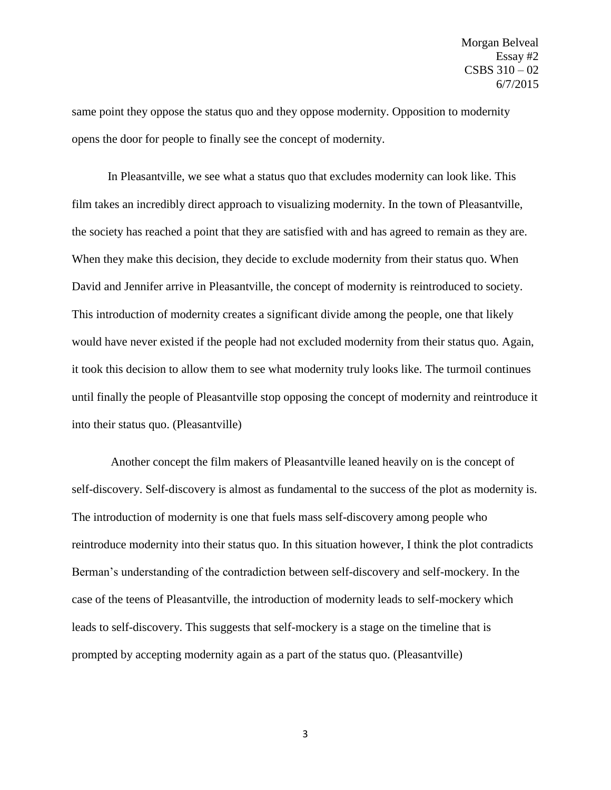same point they oppose the status quo and they oppose modernity. Opposition to modernity opens the door for people to finally see the concept of modernity.

In Pleasantville, we see what a status quo that excludes modernity can look like. This film takes an incredibly direct approach to visualizing modernity. In the town of Pleasantville, the society has reached a point that they are satisfied with and has agreed to remain as they are. When they make this decision, they decide to exclude modernity from their status quo. When David and Jennifer arrive in Pleasantville, the concept of modernity is reintroduced to society. This introduction of modernity creates a significant divide among the people, one that likely would have never existed if the people had not excluded modernity from their status quo. Again, it took this decision to allow them to see what modernity truly looks like. The turmoil continues until finally the people of Pleasantville stop opposing the concept of modernity and reintroduce it into their status quo. (Pleasantville)

Another concept the film makers of Pleasantville leaned heavily on is the concept of self-discovery. Self-discovery is almost as fundamental to the success of the plot as modernity is. The introduction of modernity is one that fuels mass self-discovery among people who reintroduce modernity into their status quo. In this situation however, I think the plot contradicts Berman's understanding of the contradiction between self-discovery and self-mockery. In the case of the teens of Pleasantville, the introduction of modernity leads to self-mockery which leads to self-discovery. This suggests that self-mockery is a stage on the timeline that is prompted by accepting modernity again as a part of the status quo. (Pleasantville)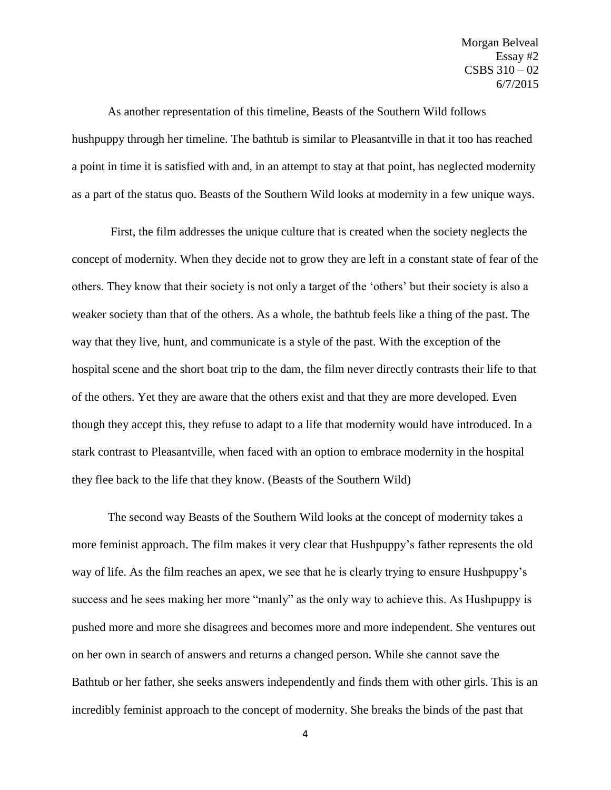Morgan Belveal Essay #2 CSBS 310 – 02 6/7/2015

As another representation of this timeline, Beasts of the Southern Wild follows hushpuppy through her timeline. The bathtub is similar to Pleasantville in that it too has reached a point in time it is satisfied with and, in an attempt to stay at that point, has neglected modernity as a part of the status quo. Beasts of the Southern Wild looks at modernity in a few unique ways.

First, the film addresses the unique culture that is created when the society neglects the concept of modernity. When they decide not to grow they are left in a constant state of fear of the others. They know that their society is not only a target of the 'others' but their society is also a weaker society than that of the others. As a whole, the bathtub feels like a thing of the past. The way that they live, hunt, and communicate is a style of the past. With the exception of the hospital scene and the short boat trip to the dam, the film never directly contrasts their life to that of the others. Yet they are aware that the others exist and that they are more developed. Even though they accept this, they refuse to adapt to a life that modernity would have introduced. In a stark contrast to Pleasantville, when faced with an option to embrace modernity in the hospital they flee back to the life that they know. (Beasts of the Southern Wild)

The second way Beasts of the Southern Wild looks at the concept of modernity takes a more feminist approach. The film makes it very clear that Hushpuppy's father represents the old way of life. As the film reaches an apex, we see that he is clearly trying to ensure Hushpuppy's success and he sees making her more "manly" as the only way to achieve this. As Hushpuppy is pushed more and more she disagrees and becomes more and more independent. She ventures out on her own in search of answers and returns a changed person. While she cannot save the Bathtub or her father, she seeks answers independently and finds them with other girls. This is an incredibly feminist approach to the concept of modernity. She breaks the binds of the past that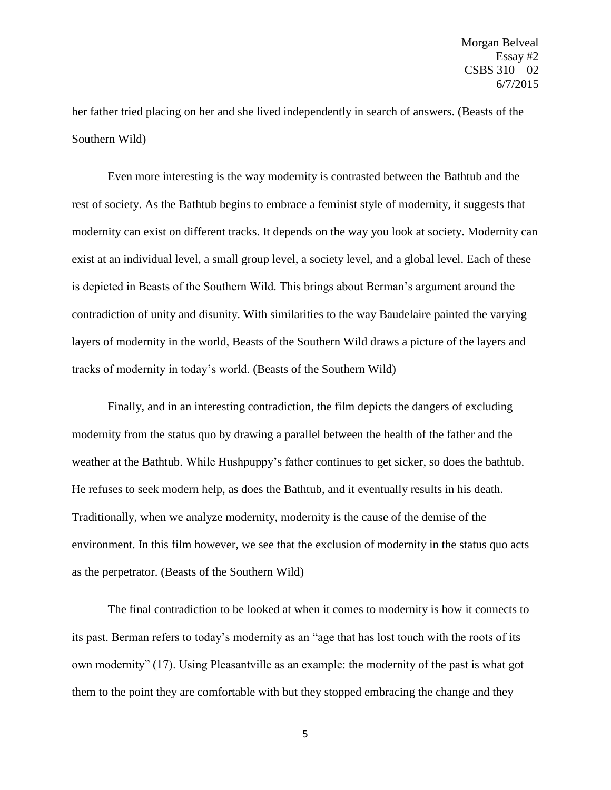her father tried placing on her and she lived independently in search of answers. (Beasts of the Southern Wild)

Even more interesting is the way modernity is contrasted between the Bathtub and the rest of society. As the Bathtub begins to embrace a feminist style of modernity, it suggests that modernity can exist on different tracks. It depends on the way you look at society. Modernity can exist at an individual level, a small group level, a society level, and a global level. Each of these is depicted in Beasts of the Southern Wild. This brings about Berman's argument around the contradiction of unity and disunity. With similarities to the way Baudelaire painted the varying layers of modernity in the world, Beasts of the Southern Wild draws a picture of the layers and tracks of modernity in today's world. (Beasts of the Southern Wild)

Finally, and in an interesting contradiction, the film depicts the dangers of excluding modernity from the status quo by drawing a parallel between the health of the father and the weather at the Bathtub. While Hushpuppy's father continues to get sicker, so does the bathtub. He refuses to seek modern help, as does the Bathtub, and it eventually results in his death. Traditionally, when we analyze modernity, modernity is the cause of the demise of the environment. In this film however, we see that the exclusion of modernity in the status quo acts as the perpetrator. (Beasts of the Southern Wild)

The final contradiction to be looked at when it comes to modernity is how it connects to its past. Berman refers to today's modernity as an "age that has lost touch with the roots of its own modernity" (17). Using Pleasantville as an example: the modernity of the past is what got them to the point they are comfortable with but they stopped embracing the change and they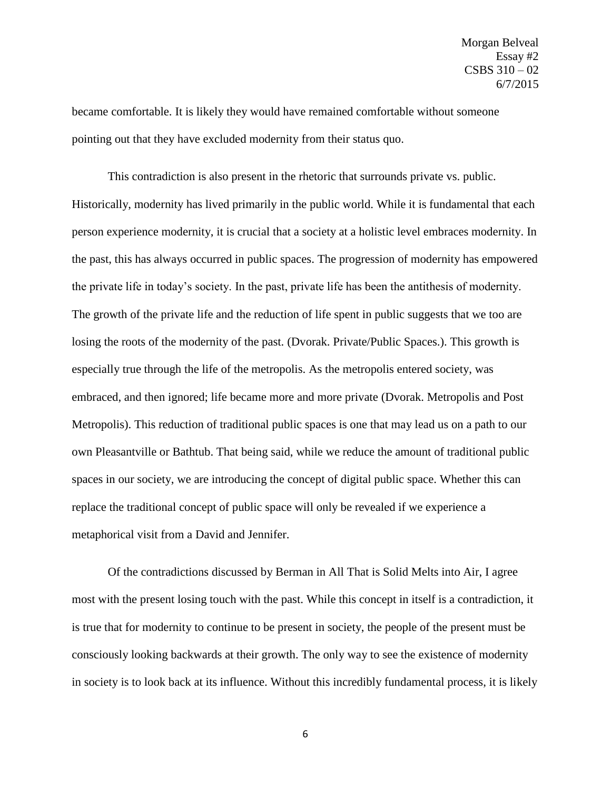became comfortable. It is likely they would have remained comfortable without someone pointing out that they have excluded modernity from their status quo.

This contradiction is also present in the rhetoric that surrounds private vs. public. Historically, modernity has lived primarily in the public world. While it is fundamental that each person experience modernity, it is crucial that a society at a holistic level embraces modernity. In the past, this has always occurred in public spaces. The progression of modernity has empowered the private life in today's society. In the past, private life has been the antithesis of modernity. The growth of the private life and the reduction of life spent in public suggests that we too are losing the roots of the modernity of the past. (Dvorak. Private/Public Spaces.). This growth is especially true through the life of the metropolis. As the metropolis entered society, was embraced, and then ignored; life became more and more private (Dvorak. Metropolis and Post Metropolis). This reduction of traditional public spaces is one that may lead us on a path to our own Pleasantville or Bathtub. That being said, while we reduce the amount of traditional public spaces in our society, we are introducing the concept of digital public space. Whether this can replace the traditional concept of public space will only be revealed if we experience a metaphorical visit from a David and Jennifer.

Of the contradictions discussed by Berman in All That is Solid Melts into Air, I agree most with the present losing touch with the past. While this concept in itself is a contradiction, it is true that for modernity to continue to be present in society, the people of the present must be consciously looking backwards at their growth. The only way to see the existence of modernity in society is to look back at its influence. Without this incredibly fundamental process, it is likely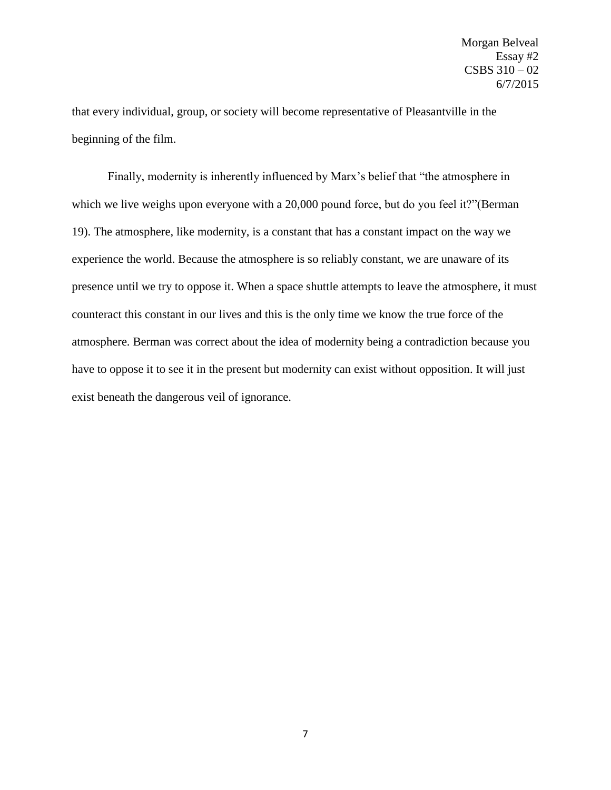that every individual, group, or society will become representative of Pleasantville in the beginning of the film.

Finally, modernity is inherently influenced by Marx's belief that "the atmosphere in which we live weighs upon everyone with a 20,000 pound force, but do you feel it?"(Berman 19). The atmosphere, like modernity, is a constant that has a constant impact on the way we experience the world. Because the atmosphere is so reliably constant, we are unaware of its presence until we try to oppose it. When a space shuttle attempts to leave the atmosphere, it must counteract this constant in our lives and this is the only time we know the true force of the atmosphere. Berman was correct about the idea of modernity being a contradiction because you have to oppose it to see it in the present but modernity can exist without opposition. It will just exist beneath the dangerous veil of ignorance.